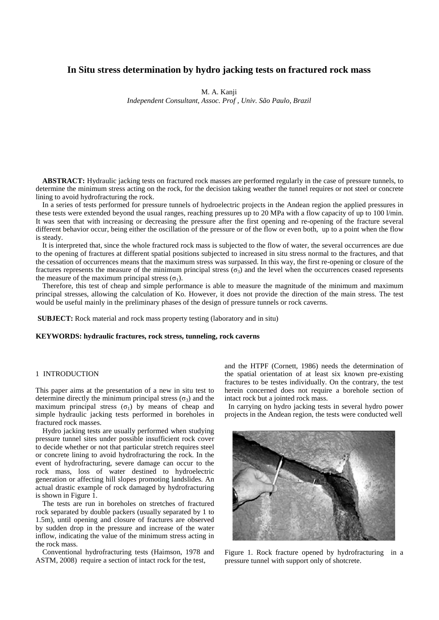# **In Situ stress determination by hydro jacking tests on fractured rock mass**

M. A. Kanji

*Independent Consultant, Assoc. Prof , Univ. São Paulo, Brazil*

**ABSTRACT:** Hydraulic jacking tests on fractured rock masses are performed regularly in the case of pressure tunnels, to determine the minimum stress acting on the rock, for the decision taking weather the tunnel requires or not steel or concrete lining to avoid hydrofracturing the rock.

In a series of tests performed for pressure tunnels of hydroelectric projects in the Andean region the applied pressures in these tests were extended beyond the usual ranges, reaching pressures up to 20 MPa with a flow capacity of up to 100 l/min. It was seen that with increasing or decreasing the pressure after the first opening and re-opening of the fracture several different behavior occur, being either the oscillation of the pressure or of the flow or even both, up to a point when the flow is steady.

It is interpreted that, since the whole fractured rock mass is subjected to the flow of water, the several occurrences are due to the opening of fractures at different spatial positions subjected to increased in situ stress normal to the fractures, and that the cessation of occurrences means that the maximum stress was surpassed. In this way, the first re-opening or closure of the fractures represents the measure of the minimum principal stress  $(\sigma_3)$  and the level when the occurrences ceased represents the measure of the maximum principal stress  $(\sigma_1)$ .

Therefore, this test of cheap and simple performance is able to measure the magnitude of the minimum and maximum principal stresses, allowing the calculation of Ko. However, it does not provide the direction of the main stress. The test would be useful mainly in the preliminary phases of the design of pressure tunnels or rock caverns.

**SUBJECT:** Rock material and rock mass property testing (laboratory and in situ)

### **KEYWORDS: hydraulic fractures, rock stress, tunneling, rock caverns**

## 1 INTRODUCTION

This paper aims at the presentation of a new in situ test to determine directly the minimum principal stress  $(\sigma_3)$  and the maximum principal stress  $(\sigma_1)$  by means of cheap and simple hydraulic jacking tests performed in boreholes in fractured rock masses.

Hydro jacking tests are usually performed when studying pressure tunnel sites under possible insufficient rock cover to decide whether or not that particular stretch requires steel or concrete lining to avoid hydrofracturing the rock. In the event of hydrofracturing, severe damage can occur to the rock mass, loss of water destined to hydroelectric generation or affecting hill slopes promoting landslides. An actual drastic example of rock damaged by hydrofracturing is shown in Figure 1.

The tests are run in boreholes on stretches of fractured rock separated by double packers (usually separated by 1 to 1.5m), until opening and closure of fractures are observed by sudden drop in the pressure and increase of the water inflow, indicating the value of the minimum stress acting in the rock mass.

Conventional hydrofracturing tests (Haimson, 1978 and ASTM, 2008) require a section of intact rock for the test,

and the HTPF (Cornett, 1986) needs the determination of the spatial orientation of at least six known pre-existing fractures to be testes individually. On the contrary, the test herein concerned does not require a borehole section of intact rock but a jointed rock mass.

 In carrying on hydro jacking tests in several hydro power projects in the Andean region, the tests were conducted well



Figure 1. Rock fracture opened by hydrofracturing in a pressure tunnel with support only of shotcrete.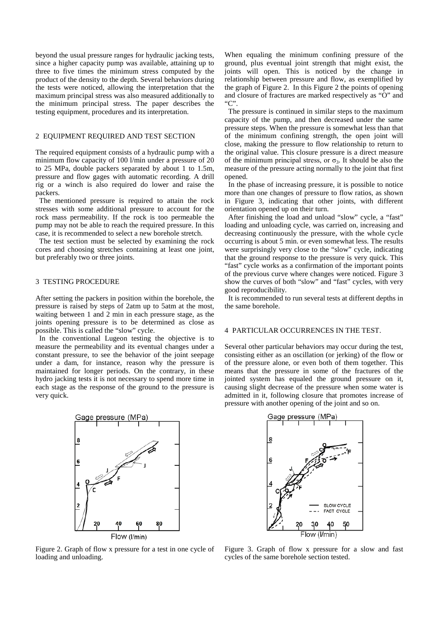beyond the usual pressure ranges for hydraulic jacking tests, since a higher capacity pump was available, attaining up to three to five times the minimum stress computed by the product of the density to the depth. Several behaviors during the tests were noticed, allowing the interpretation that the maximum principal stress was also measured additionally to the minimum principal stress. The paper describes the testing equipment, procedures and its interpretation.

### 2 EQUIPMENT REQUIRED AND TEST SECTION

The required equipment consists of a hydraulic pump with a minimum flow capacity of 100 l/min under a pressure of 20 to 25 MPa, double packers separated by about 1 to 1.5m, pressure and flow gages with automatic recording. A drill rig or a winch is also required do lower and raise the packers.

 The mentioned pressure is required to attain the rock stresses with some additional pressure to account for the rock mass permeability. If the rock is too permeable the pump may not be able to reach the required pressure. In this case, it is recommended to select a new borehole stretch.

 The test section must be selected by examining the rock cores and choosing stretches containing at least one joint, but preferably two or three joints.

### 3 TESTING PROCEDURE

After setting the packers in position within the borehole, the pressure is raised by steps of 2atm up to 5atm at the most, waiting between 1 and 2 min in each pressure stage, as the joints opening pressure is to be determined as close as possible. This is called the "slow" cycle.

 In the conventional Lugeon testing the objective is to measure the permeability and its eventual changes under a constant pressure, to see the behavior of the joint seepage under a dam, for instance, reason why the pressure is maintained for longer periods. On the contrary, in these hydro jacking tests it is not necessary to spend more time in each stage as the response of the ground to the pressure is very quick.



Figure 2. Graph of flow x pressure for a test in one cycle of loading and unloading.

When equaling the minimum confining pressure of the ground, plus eventual joint strength that might exist, the joints will open. This is noticed by the change in relationship between pressure and flow, as exemplified by the graph of Figure 2. In this Figure 2 the points of opening and closure of fractures are marked respectively as "O" and "C".

 The pressure is continued in similar steps to the maximum capacity of the pump, and then decreased under the same pressure steps. When the pressure is somewhat less than that of the minimum confining strength, the open joint will close, making the pressure to flow relationship to return to the original value. This closure pressure is a direct measure of the minimum principal stress, or  $\sigma_3$ . It should be also the measure of the pressure acting normally to the joint that first opened.

 In the phase of increasing pressure, it is possible to notice more than one changes of pressure to flow ratios, as shown in Figure 3, indicating that other joints, with different orientation opened up on their turn.

 After finishing the load and unload "slow" cycle, a "fast" loading and unloading cycle, was carried on, increasing and decreasing continuously the pressure, with the whole cycle occurring is about 5 min. or even somewhat less. The results were surprisingly very close to the "slow" cycle, indicating that the ground response to the pressure is very quick. This "fast" cycle works as a confirmation of the important points of the previous curve where changes were noticed. Figure 3 show the curves of both "slow" and "fast" cycles, with very good reproducibility.

 It is recommended to run several tests at different depths in the same borehole.

### 4 PARTICULAR OCCURRENCES IN THE TEST.

Several other particular behaviors may occur during the test, consisting either as an oscillation (or jerking) of the flow or of the pressure alone, or even both of them together. This means that the pressure in some of the fractures of the jointed system has equaled the ground pressure on it, causing slight decrease of the pressure when some water is admitted in it, following closure that promotes increase of pressure with another opening of the joint and so on.



Figure 3. Graph of flow x pressure for a slow and fast cycles of the same borehole section tested.